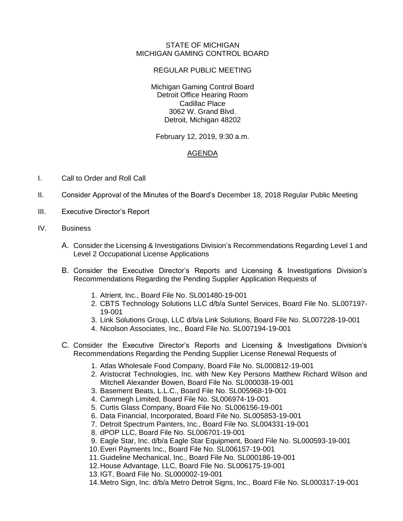## STATE OF MICHIGAN MICHIGAN GAMING CONTROL BOARD

## REGULAR PUBLIC MEETING

Michigan Gaming Control Board Detroit Office Hearing Room Cadillac Place 3062 W. Grand Blvd. Detroit, Michigan 48202

February 12, 2019, 9:30 a.m.

## AGENDA

- I. Call to Order and Roll Call
- II. Consider Approval of the Minutes of the Board's December 18, 2018 Regular Public Meeting
- III. Executive Director's Report
- IV. Business
	- A. Consider the Licensing & Investigations Division's Recommendations Regarding Level 1 and Level 2 Occupational License Applications
	- B. Consider the Executive Director's Reports and Licensing & Investigations Division's Recommendations Regarding the Pending Supplier Application Requests of
		- 1. Atrient, Inc., Board File No. SL001480-19-001
		- 2. CBTS Technology Solutions LLC d/b/a Suntel Services, Board File No. SL007197- 19-001
		- 3. Link Solutions Group, LLC d/b/a Link Solutions, Board File No. SL007228-19-001
		- 4. Nicolson Associates, Inc., Board File No. SL007194-19-001
	- C. Consider the Executive Director's Reports and Licensing & Investigations Division's Recommendations Regarding the Pending Supplier License Renewal Requests of
		- 1. Atlas Wholesale Food Company, Board File No. SL000812-19-001
		- 2. Aristocrat Technologies, Inc. with New Key Persons Matthew Richard Wilson and Mitchell Alexander Bowen, Board File No. SL000038-19-001
		- 3. Basement Beats, L.L.C., Board File No. SL005968-19-001
		- 4. Cammegh Limited, Board File No. SL006974-19-001
		- 5. Curtis Glass Company, Board File No. SL006156-19-001
		- 6. Data Financial, Incorporated, Board File No. SL005853-19-001
		- 7. Detroit Spectrum Painters, Inc., Board File No. SL004331-19-001
		- 8. dPOP LLC, Board File No. SL006701-19-001
		- 9. Eagle Star, Inc. d/b/a Eagle Star Equipment, Board File No. SL000593-19-001
		- 10.Everi Payments Inc., Board File No. SL006157-19-001
		- 11.Guideline Mechanical, Inc., Board File No. SL000186-19-001
		- 12.House Advantage, LLC, Board File No. SL006175-19-001
		- 13.IGT, Board File No. SL000002-19-001
		- 14.Metro Sign, Inc. d/b/a Metro Detroit Signs, Inc., Board File No. SL000317-19-001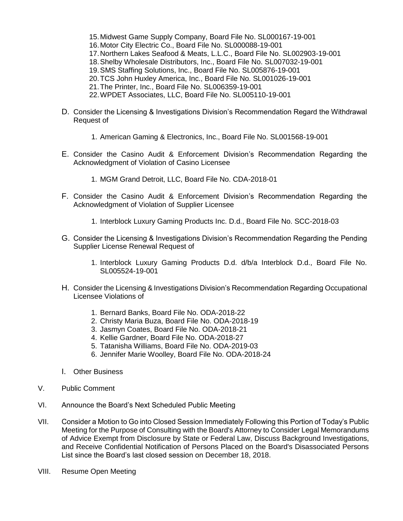- 15.Midwest Game Supply Company, Board File No. SL000167-19-001
- 16.Motor City Electric Co., Board File No. SL000088-19-001
- 17.Northern Lakes Seafood & Meats, L.L.C., Board File No. SL002903-19-001
- 18.Shelby Wholesale Distributors, Inc., Board File No. SL007032-19-001
- 19.SMS Staffing Solutions, Inc., Board File No. SL005876-19-001
- 20.TCS John Huxley America, Inc., Board File No. SL001026-19-001
- 21.The Printer, Inc., Board File No. SL006359-19-001
- 22.WPDET Associates, LLC, Board File No. SL005110-19-001
- D. Consider the Licensing & Investigations Division's Recommendation Regard the Withdrawal Request of
	- 1. American Gaming & Electronics, Inc., Board File No. SL001568-19-001
- E. Consider the Casino Audit & Enforcement Division's Recommendation Regarding the Acknowledgment of Violation of Casino Licensee
	- 1. MGM Grand Detroit, LLC, Board File No. CDA-2018-01
- F. Consider the Casino Audit & Enforcement Division's Recommendation Regarding the Acknowledgment of Violation of Supplier Licensee
	- 1. Interblock Luxury Gaming Products Inc. D.d., Board File No. SCC-2018-03
- G. Consider the Licensing & Investigations Division's Recommendation Regarding the Pending Supplier License Renewal Request of
	- 1. Interblock Luxury Gaming Products D.d. d/b/a Interblock D.d., Board File No. SL005524-19-001
- H. Consider the Licensing & Investigations Division's Recommendation Regarding Occupational Licensee Violations of
	- 1. Bernard Banks, Board File No. ODA-2018-22
	- 2. Christy Maria Buza, Board File No. ODA-2018-19
	- 3. Jasmyn Coates, Board File No. ODA-2018-21
	- 4. Kellie Gardner, Board File No. ODA-2018-27
	- 5. Tatanisha Williams, Board File No. ODA-2019-03
	- 6. Jennifer Marie Woolley, Board File No. ODA-2018-24
- I. Other Business
- V. Public Comment
- VI. Announce the Board's Next Scheduled Public Meeting
- VII. Consider a Motion to Go into Closed Session Immediately Following this Portion of Today's Public Meeting for the Purpose of Consulting with the Board's Attorney to Consider Legal Memorandums of Advice Exempt from Disclosure by State or Federal Law, Discuss Background Investigations, and Receive Confidential Notification of Persons Placed on the Board's Disassociated Persons List since the Board's last closed session on December 18, 2018.
- VIII. Resume Open Meeting